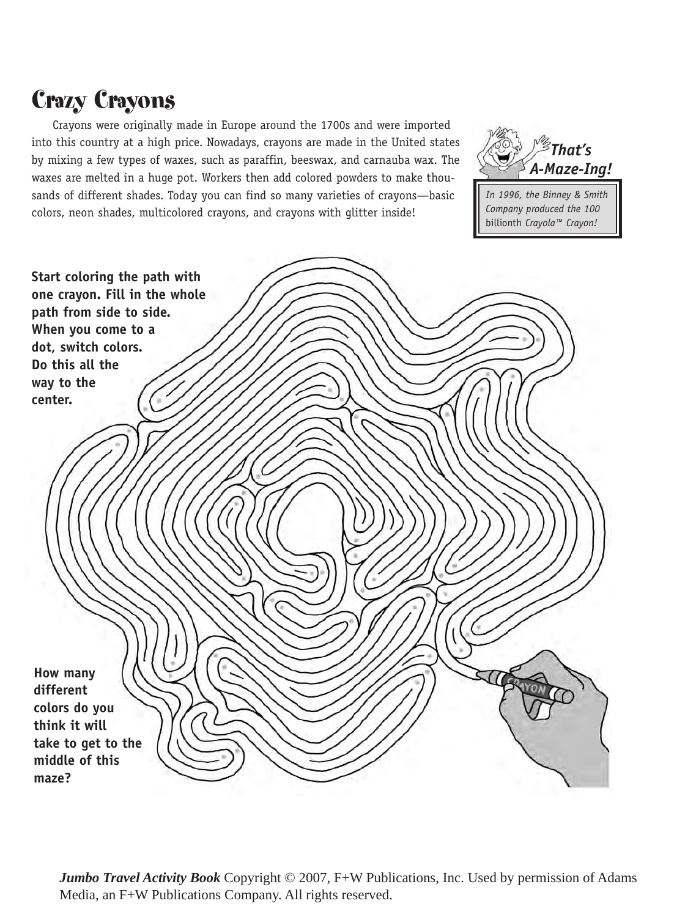## Crazy Crayons

Crayons were originally made in Europe around the 1700s and were imported into this country at a high price. Nowadays, crayons are made in the United states by mixing a few types of waxes, such as paraffin, beeswax, and carnauba wax. The waxes are melted in a huge pot. Workers then add colored powders to make thousands of different shades. Today you can find so many varieties of crayons—basic colors, neon shades, multicolored crayons, and crayons with glitter inside!



*In 1996, the Binney & Smith Company produced the 100*  billionth *Crayola™ Crayon!*



*Jumbo Travel Activity Book* Copyright © 2007, F+W Publications, Inc. Used by permission of Adams Media, an F+W Publications Company. All rights reserved.